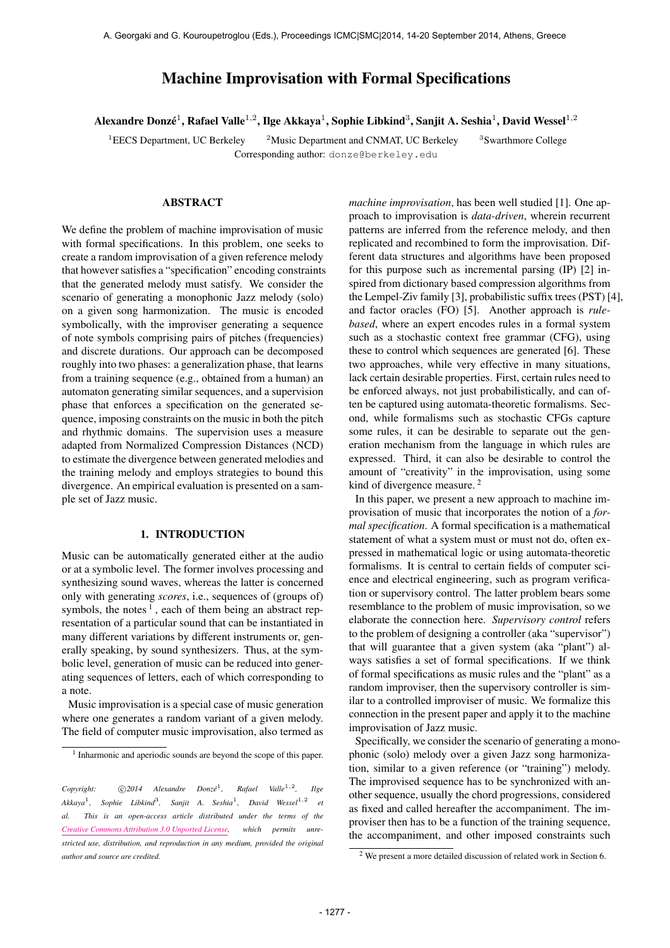# Machine Improvisation with Formal Specifications

Alexandre Donzé $^1$ , Rafael Valle $^{1,2}$ , Ilge Akkaya $^1$ , Sophie Libkind $^3$ , Sanjit A. Seshia $^1$ , David Wessel $^{1,2}$ 

<sup>1</sup>EECS Department, UC Berkeley  $2^2$ Music Department and CNMAT, UC Berkeley Corresponding author: [donze@berkeley.edu](mailto:donze@berkeley.edu)

<sup>3</sup>Swarthmore College

# **ABSTRACT**

We define the problem of machine improvisation of music with formal specifications. In this problem, one seeks to create a random improvisation of a given reference melody that however satisfies a "specification" encoding constraints that the generated melody must satisfy. We consider the scenario of generating a monophonic Jazz melody (solo) on a given song harmonization. The music is encoded symbolically, with the improviser generating a sequence of note symbols comprising pairs of pitches (frequencies) and discrete durations. Our approach can be decomposed roughly into two phases: a generalization phase, that learns from a training sequence (e.g., obtained from a human) an automaton generating similar sequences, and a supervision phase that enforces a specification on the generated sequence, imposing constraints on the music in both the pitch and rhythmic domains. The supervision uses a measure adapted from Normalized Compression Distances (NCD) to estimate the divergence between generated melodies and the training melody and employs strategies to bound this divergence. An empirical evaluation is presented on a sample set of Jazz music.

# 1. INTRODUCTION

Music can be automatically generated either at the audio or at a symbolic level. The former involves processing and synthesizing sound waves, whereas the latter is concerned only with generating *scores*, i.e., sequences of (groups of) symbols, the notes  $<sup>1</sup>$ , each of them being an abstract rep-</sup> resentation of a particular sound that can be instantiated in many different variations by different instruments or, generally speaking, by sound synthesizers. Thus, at the symbolic level, generation of music can be reduced into generating sequences of letters, each of which corresponding to a note.

Music improvisation is a special case of music generation where one generates a random variant of a given melody. The field of computer music improvisation, also termed as *machine improvisation*, has been well studied [1]. One approach to improvisation is *data-driven*, wherein recurrent patterns are inferred from the reference melody, and then replicated and recombined to form the improvisation. Different data structures and algorithms have been proposed for this purpose such as incremental parsing (IP) [2] inspired from dictionary based compression algorithms from the Lempel-Ziv family [3], probabilistic suffix trees (PST) [4], and factor oracles (FO) [5]. Another approach is *rulebased*, where an expert encodes rules in a formal system such as a stochastic context free grammar (CFG), using these to control which sequences are generated [6]. These two approaches, while very effective in many situations, lack certain desirable properties. First, certain rules need to be enforced always, not just probabilistically, and can often be captured using automata-theoretic formalisms. Second, while formalisms such as stochastic CFGs capture some rules, it can be desirable to separate out the generation mechanism from the language in which rules are expressed. Third, it can also be desirable to control the amount of "creativity" in the improvisation, using some kind of divergence measure.<sup>2</sup>

In this paper, we present a new approach to machine improvisation of music that incorporates the notion of a *formal specification*. A formal specification is a mathematical statement of what a system must or must not do, often expressed in mathematical logic or using automata-theoretic formalisms. It is central to certain fields of computer science and electrical engineering, such as program verification or supervisory control. The latter problem bears some resemblance to the problem of music improvisation, so we elaborate the connection here. *Supervisory control* refers to the problem of designing a controller (aka "supervisor") that will guarantee that a given system (aka "plant") always satisfies a set of formal specifications. If we think of formal specifications as music rules and the "plant" as a random improviser, then the supervisory controller is similar to a controlled improviser of music. We formalize this connection in the present paper and apply it to the machine improvisation of Jazz music.

Specifically, we consider the scenario of generating a monophonic (solo) melody over a given Jazz song harmonization, similar to a given reference (or "training") melody. The improvised sequence has to be synchronized with another sequence, usually the chord progressions, considered as fixed and called hereafter the accompaniment. The improviser then has to be a function of the training sequence, the accompaniment, and other imposed constraints such

<sup>&</sup>lt;sup>1</sup> Inharmonic and aperiodic sounds are beyond the scope of this paper.

 $Copyright:$  **C**  $2014$  Alexandre  $Donz\acute{e}^1$ , *Rafael Valle*<sup>1,2</sup>, *, Ilge Akkaya*<sup>1</sup> *, Sophie Libkind*<sup>3</sup> *, Sanjit A. Seshia*<sup>1</sup> *, David Wessel*1,<sup>2</sup> *et al. This is an open-access article distributed under the terms of the [Creative Commons Attribution 3.0 Unported License,](http://creativecommons.org/licenses/by/3.0/) which permits unrestricted use, distribution, and reproduction in any medium, provided the original author and source are credited.*

<sup>2</sup> We present a more detailed discussion of related work in Section 6.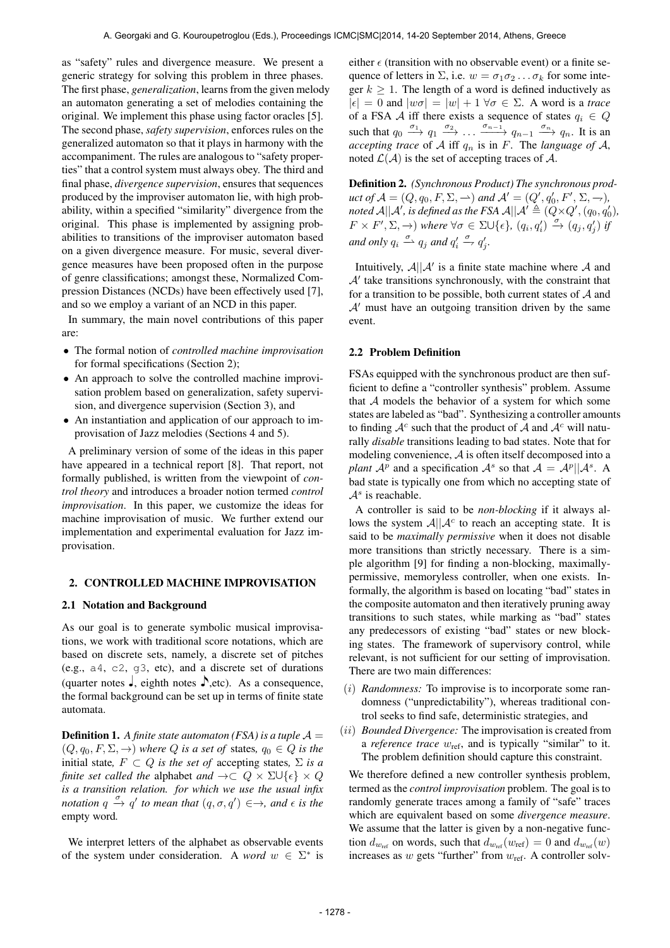as "safety" rules and divergence measure. We present a generic strategy for solving this problem in three phases. The first phase, *generalization*, learns from the given melody an automaton generating a set of melodies containing the original. We implement this phase using factor oracles [5]. The second phase, *safety supervision*, enforces rules on the generalized automaton so that it plays in harmony with the accompaniment. The rules are analogous to "safety properties" that a control system must always obey. The third and final phase, *divergence supervision*, ensures that sequences produced by the improviser automaton lie, with high probability, within a specified "similarity" divergence from the original. This phase is implemented by assigning probabilities to transitions of the improviser automaton based on a given divergence measure. For music, several divergence measures have been proposed often in the purpose of genre classifications; amongst these, Normalized Compression Distances (NCDs) have been effectively used [7], and so we employ a variant of an NCD in this paper.

In summary, the main novel contributions of this paper are:

- The formal notion of *controlled machine improvisation* for formal specifications (Section 2);
- An approach to solve the controlled machine improvisation problem based on generalization, safety supervision, and divergence supervision (Section 3), and
- An instantiation and application of our approach to improvisation of Jazz melodies (Sections 4 and 5).

A preliminary version of some of the ideas in this paper have appeared in a technical report [8]. That report, not formally published, is written from the viewpoint of *control theory* and introduces a broader notion termed *control improvisation*. In this paper, we customize the ideas for machine improvisation of music. We further extend our implementation and experimental evaluation for Jazz improvisation.

#### 2. CONTROLLED MACHINE IMPROVISATION

#### 2.1 Notation and Background

As our goal is to generate symbolic musical improvisations, we work with traditional score notations, which are based on discrete sets, namely, a discrete set of pitches (e.g., a4, c2, g3, etc), and a discrete set of durations (quarter notes  $\Box$ , eighth notes  $\Box$ , etc). As a consequence, the formal background can be set up in terms of finite state automata.

**Definition 1.** A finite state automaton (FSA) is a tuple  $A =$  $(Q, q_0, F, \Sigma, \rightarrow)$  *where*  $Q$  *is a set of states,*  $q_0 \in Q$  *<i>is the* initial state,  $F \subset Q$  *is the set of* accepting states,  $\Sigma$  *is a finite set called the alphabet and*  $\rightarrow \subset Q \times \Sigma \cup \{\epsilon\} \times Q$ *is a transition relation. for which we use the usual infix notation*  $q \stackrel{\sigma}{\rightarrow} q'$  *to mean that*  $(q, \sigma, q') \in \rightarrow$ *, and*  $\epsilon$  *is the* empty word*.*

We interpret letters of the alphabet as observable events of the system under consideration. A *word*  $w \in \Sigma^*$  is

either  $\epsilon$  (transition with no observable event) or a finite sequence of letters in  $\Sigma$ , i.e.  $w = \sigma_1 \sigma_2 \dots \sigma_k$  for some integer  $k \geq 1$ . The length of a word is defined inductively as  $|\epsilon| = 0$  and  $|w\sigma| = |w| + 1 \,\forall \sigma \in \Sigma$ . A word is a *trace* of a FSA A iff there exists a sequence of states  $q_i \in Q$ such that  $q_0 \xrightarrow{\sigma_1} q_1 \xrightarrow{\sigma_2} \dots \xrightarrow{\sigma_{n-1}} q_{n-1} \xrightarrow{\sigma_n} q_n$ . It is an *accepting trace* of A iff  $q_n$  is in F. The *language* of A, noted  $\mathcal{L}(\mathcal{A})$  is the set of accepting traces of  $\mathcal{A}$ .

Definition 2. *(Synchronous Product) The synchronous prod* $uct$  of  $\mathcal{A} = (Q, q_0, F, \Sigma, \rightarrow)$  and  $\mathcal{A}' = (Q', q'_0, F', \Sigma, \rightarrow)$ , noted A||A', is defined as the FSA A||A'  $\triangleq$   $(\stackrel{\sim}{Q}\times Q', (q_0, q_0'),$  $F \times F', \Sigma, \rightarrow)$  where  $\forall \sigma \in \Sigma \cup \{\epsilon\}, (q_i, q'_i) \stackrel{\sigma}{\rightarrow} (q_j, q'_j)$  if and only  $q_i \stackrel{\sigma}{\rightharpoonup} q_j$  and  $q'_i \stackrel{\sigma}{\rightharpoondown} q'_j$ .

Intuitively,  $A||A'$  is a finite state machine where A and  $A'$  take transitions synchronously, with the constraint that for a transition to be possible, both current states of  $A$  and  $A'$  must have an outgoing transition driven by the same event.

# 2.2 Problem Definition

FSAs equipped with the synchronous product are then sufficient to define a "controller synthesis" problem. Assume that  $A$  models the behavior of a system for which some states are labeled as "bad". Synthesizing a controller amounts to finding  $A^c$  such that the product of A and  $A^c$  will naturally *disable* transitions leading to bad states. Note that for modeling convenience, A is often itself decomposed into a plant  $A^p$  and a specification  $A^s$  so that  $A = A^p || A^s$ . A bad state is typically one from which no accepting state of  $A<sup>s</sup>$  is reachable.

A controller is said to be *non-blocking* if it always allows the system  $A||A^c$  to reach an accepting state. It is said to be *maximally permissive* when it does not disable more transitions than strictly necessary. There is a simple algorithm [9] for finding a non-blocking, maximallypermissive, memoryless controller, when one exists. Informally, the algorithm is based on locating "bad" states in the composite automaton and then iteratively pruning away transitions to such states, while marking as "bad" states any predecessors of existing "bad" states or new blocking states. The framework of supervisory control, while relevant, is not sufficient for our setting of improvisation. There are two main differences:

- (i) *Randomness:* To improvise is to incorporate some randomness ("unpredictability"), whereas traditional control seeks to find safe, deterministic strategies, and
- (ii) *Bounded Divergence:* The improvisation is created from a *reference trace*  $w_{\text{ref}}$ , and is typically "similar" to it. The problem definition should capture this constraint.

We therefore defined a new controller synthesis problem, termed as the *control improvisation* problem. The goal is to randomly generate traces among a family of "safe" traces which are equivalent based on some *divergence measure*. We assume that the latter is given by a non-negative function  $d_{w_{ref}}$  on words, such that  $d_{w_{ref}}(w_{ref}) = 0$  and  $d_{w_{ref}}(w)$ increases as  $w$  gets "further" from  $w_{ref}$ . A controller solv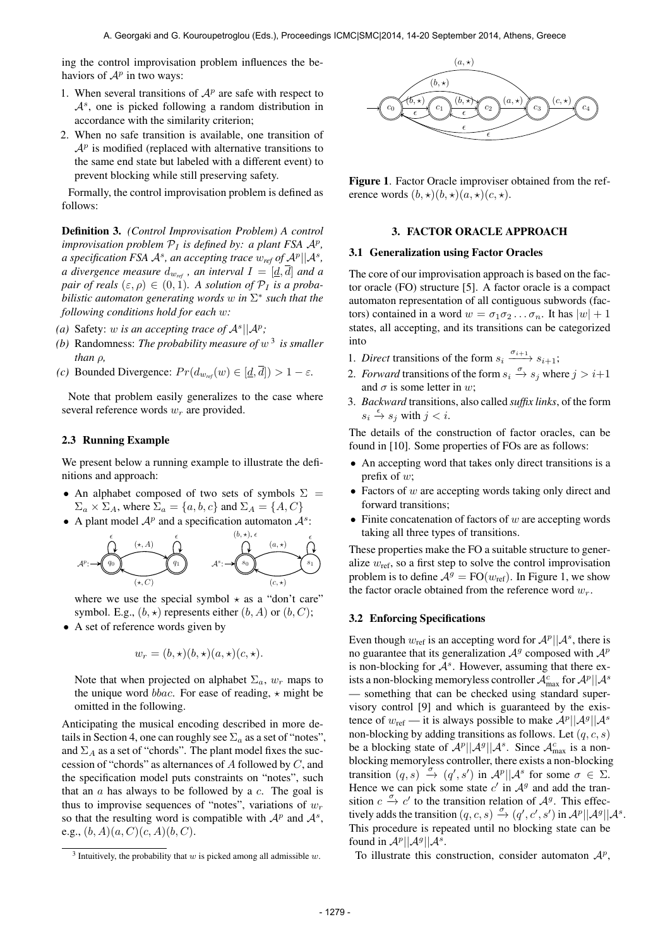ing the control improvisation problem influences the behaviors of  $\mathcal{A}^p$  in two ways:

- 1. When several transitions of  $A<sup>p</sup>$  are safe with respect to  $A<sup>s</sup>$ , one is picked following a random distribution in accordance with the similarity criterion;
- 2. When no safe transition is available, one transition of  $A<sup>p</sup>$  is modified (replaced with alternative transitions to the same end state but labeled with a different event) to prevent blocking while still preserving safety.

Formally, the control improvisation problem is defined as follows:

Definition 3. *(Control Improvisation Problem) A control improvisation problem*  $P_I$  *is defined by: a plant FSA*  $A^p$ *, a specification FSA*  $\mathcal{A}^s$ *, an accepting trace*  $w_{\text{ref}}$  *of*  $\mathcal{A}^p||\mathcal{A}^s$ *, a divergence measure*  $d_{w_{ref}}$ , an interval  $I = [\underline{d}, \overline{d}]$  and a *pair of reals*  $(\varepsilon, \rho) \in (0, 1)$ *. A solution of*  $\mathcal{P}_I$  *is a probabilistic automaton generating words* w *in* Σ ∗ *such that the following conditions hold for each* w*:*

- (a) Safety: w is an accepting trace of  $\mathcal{A}^s||\mathcal{A}^p$ ;
- *(b)* Randomness: *The probability measure of* w 3 *is smaller than* ρ*,*
- *(c)* Bounded Divergence:  $Pr(d_{w_{ref}}(w) \in [\underline{d}, \overline{d}]) > 1 \varepsilon$ .

Note that problem easily generalizes to the case where several reference words  $w_r$  are provided.

# 2.3 Running Example

We present below a running example to illustrate the definitions and approach:

- An alphabet composed of two sets of symbols  $\Sigma =$  $\Sigma_a \times \Sigma_A$ , where  $\Sigma_a = \{a, b, c\}$  and  $\Sigma_A = \{A, C\}$
- A plant model  $A^p$  and a specification automaton  $A^s$ :



where we use the special symbol  $\star$  as a "don't care" symbol. E.g.,  $(b, \star)$  represents either  $(b, A)$  or  $(b, C)$ ;

• A set of reference words given by

$$
w_r = (b, \star)(b, \star)(a, \star)(c, \star).
$$

Note that when projected on alphabet  $\Sigma_a$ ,  $w_r$  maps to the unique word *bbac*. For ease of reading,  $\star$  might be omitted in the following.

Anticipating the musical encoding described in more details in Section 4, one can roughly see  $\Sigma_a$  as a set of "notes", and  $\Sigma_A$  as a set of "chords". The plant model fixes the succession of "chords" as alternances of  $A$  followed by  $C$ , and the specification model puts constraints on "notes", such that an  $\alpha$  has always to be followed by a  $c$ . The goal is thus to improvise sequences of "notes", variations of  $w_r$ so that the resulting word is compatible with  $A^p$  and  $A^s$ , e.g.,  $(b, A)(a, C)(c, A)(b, C)$ .



Figure 1. Factor Oracle improviser obtained from the reference words  $(b, \star)(b, \star)(a, \star)(c, \star)$ .

# 3. FACTOR ORACLE APPROACH

## 3.1 Generalization using Factor Oracles

The core of our improvisation approach is based on the factor oracle (FO) structure [5]. A factor oracle is a compact automaton representation of all contiguous subwords (factors) contained in a word  $w = \sigma_1 \sigma_2 \ldots \sigma_n$ . It has  $|w| + 1$ states, all accepting, and its transitions can be categorized into

- 1. *Direct* transitions of the form  $s_i \xrightarrow{\sigma_{i+1}} s_{i+1}$ ;
- 2. *Forward* transitions of the form  $s_i \xrightarrow{\sigma} s_j$  where  $j > i+1$ and  $\sigma$  is some letter in w;
- 3. *Backward* transitions, also called *suffix links*, of the form  $s_i \stackrel{\epsilon}{\rightarrow} s_j$  with  $j < i$ .

The details of the construction of factor oracles, can be found in [10]. Some properties of FOs are as follows:

- An accepting word that takes only direct transitions is a prefix of  $w$ ;
- Factors of  $w$  are accepting words taking only direct and forward transitions;
- Finite concatenation of factors of  $w$  are accepting words taking all three types of transitions.

These properties make the FO a suitable structure to generalize  $w_{\text{ref}}$ , so a first step to solve the control improvisation problem is to define  $A^g = FO(w_{ref})$ . In Figure 1, we show the factor oracle obtained from the reference word  $w_r$ .

## 3.2 Enforcing Specifications

Even though  $w_{ref}$  is an accepting word for  $\mathcal{A}^p||\mathcal{A}^s$ , there is no guarantee that its generalization  $A<sup>g</sup>$  composed with  $A<sup>p</sup>$ is non-blocking for  $A<sup>s</sup>$ . However, assuming that there exists a non-blocking memoryless controller  $\mathcal{A}^c_\text{max}$  for  $\mathcal{A}^p||\mathcal{A}^s$ — something that can be checked using standard supervisory control [9] and which is guaranteed by the existence of  $w_{\text{ref}}$  — it is always possible to make  $\mathcal{A}^p || \mathcal{A}^g || \mathcal{A}^s$ non-blocking by adding transitions as follows. Let  $(q, c, s)$ be a blocking state of  $\mathcal{A}^p$ || $\mathcal{A}^g$ || $\mathcal{A}^s$ . Since  $\mathcal{A}_{\text{max}}^c$  is a nonblocking memoryless controller, there exists a non-blocking transition  $(q, s) \stackrel{\sigma}{\rightarrow} (q', s')$  in  $\mathcal{A}^p||\mathcal{A}^s$  for some  $\sigma \in \Sigma$ . Hence we can pick some state  $c'$  in  $A<sup>g</sup>$  and add the transition  $c \xrightarrow{\sigma} c'$  to the transition relation of  $\mathcal{A}^g$ . This effectively adds the transition  $(q, c, s) \xrightarrow{\sigma} (q', c', s')$  in  $\mathcal{A}^p||\mathcal{A}^q||\mathcal{A}^s$ . This procedure is repeated until no blocking state can be found in  $\mathcal{A}^p$ || $\mathcal{A}^g$ || $\mathcal{A}^s$ .

To illustrate this construction, consider automaton  $A^p$ ,

<sup>&</sup>lt;sup>3</sup> Intuitively, the probability that w is picked among all admissible w.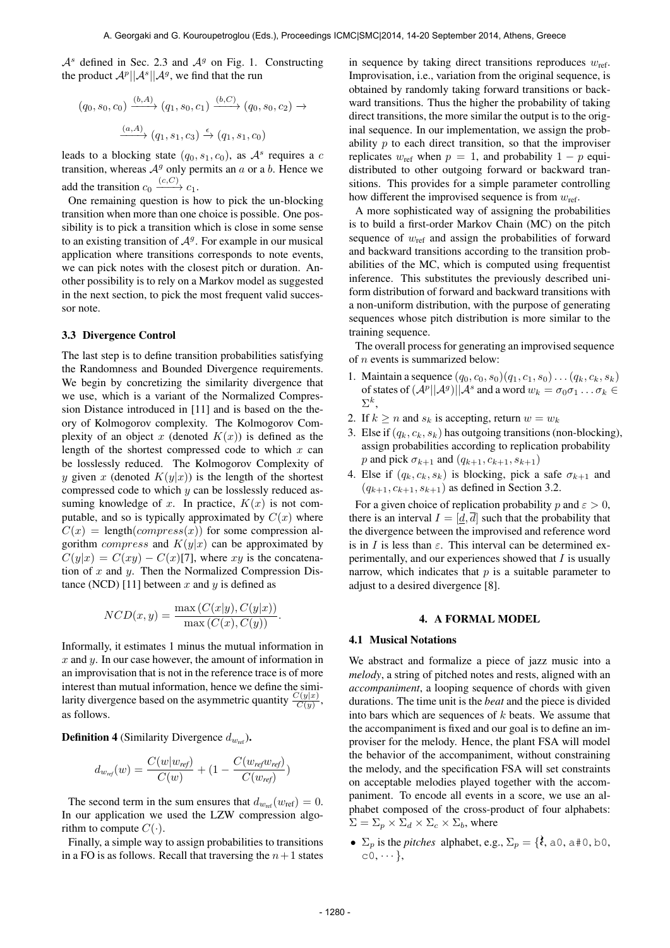$A<sup>s</sup>$  defined in Sec. 2.3 and  $A<sup>g</sup>$  on Fig. 1. Constructing the product  $\mathcal{A}^p||\mathcal{A}^s||\mathcal{A}^g$ , we find that the run

$$
(q_0, s_0, c_0) \xrightarrow{(b,A)} (q_1, s_0, c_1) \xrightarrow{(b,C)} (q_0, s_0, c_2) \rightarrow
$$

$$
\xrightarrow{(a,A)} (q_1, s_1, c_3) \xrightarrow{\epsilon} (q_1, s_1, c_0)
$$

leads to a blocking state  $(q_0, s_1, c_0)$ , as  $\mathcal{A}^s$  requires a c transition, whereas  $A<sup>g</sup>$  only permits an a or a b. Hence we add the transition  $c_0 \xrightarrow{(c,C)} c_1$ .

One remaining question is how to pick the un-blocking transition when more than one choice is possible. One possibility is to pick a transition which is close in some sense to an existing transition of  $A<sup>g</sup>$ . For example in our musical application where transitions corresponds to note events, we can pick notes with the closest pitch or duration. Another possibility is to rely on a Markov model as suggested in the next section, to pick the most frequent valid successor note.

#### 3.3 Divergence Control

The last step is to define transition probabilities satisfying the Randomness and Bounded Divergence requirements. We begin by concretizing the similarity divergence that we use, which is a variant of the Normalized Compression Distance introduced in [11] and is based on the theory of Kolmogorov complexity. The Kolmogorov Complexity of an object x (denoted  $K(x)$ ) is defined as the length of the shortest compressed code to which  $x$  can be losslessly reduced. The Kolmogorov Complexity of y given x (denoted  $K(y|x)$ ) is the length of the shortest compressed code to which y can be losslessly reduced assuming knowledge of x. In practice,  $K(x)$  is not computable, and so is typically approximated by  $C(x)$  where  $C(x) = \text{length}(compress(x))$  for some compression algorithm *compress* and  $K(y|x)$  can be approximated by  $C(y|x) = C(xy) - C(x)[7]$ , where xy is the concatenation of  $x$  and  $y$ . Then the Normalized Compression Distance (NCD) [11] between x and y is defined as

$$
NCD(x, y) = \frac{\max(C(x|y), C(y|x))}{\max(C(x), C(y))}.
$$

Informally, it estimates 1 minus the mutual information in  $x$  and  $y$ . In our case however, the amount of information in an improvisation that is not in the reference trace is of more interest than mutual information, hence we define the similarity divergence based on the asymmetric quantity  $\frac{C(y|x)}{C(y)}$ , as follows.

**Definition 4** (Similarity Divergence  $d_{w_{\text{ref}}})$ .

$$
d_{w_{ref}}(w) = \frac{C(w|w_{ref})}{C(w)} + (1 - \frac{C(w_{ref}w_{ref})}{C(w_{ref})})
$$

The second term in the sum ensures that  $d_{w_{ref}}(w_{ref}) = 0$ . In our application we used the LZW compression algorithm to compute  $C(\cdot)$ .

Finally, a simple way to assign probabilities to transitions in a FO is as follows. Recall that traversing the  $n+1$  states

in sequence by taking direct transitions reproduces  $w_{\text{ref}}$ . Improvisation, i.e., variation from the original sequence, is obtained by randomly taking forward transitions or backward transitions. Thus the higher the probability of taking direct transitions, the more similar the output is to the original sequence. In our implementation, we assign the probability  $p$  to each direct transition, so that the improviser replicates  $w_{ref}$  when  $p = 1$ , and probability  $1 - p$  equidistributed to other outgoing forward or backward transitions. This provides for a simple parameter controlling how different the improvised sequence is from  $w_{\text{ref}}$ .

A more sophisticated way of assigning the probabilities is to build a first-order Markov Chain (MC) on the pitch sequence of  $w_{\text{ref}}$  and assign the probabilities of forward and backward transitions according to the transition probabilities of the MC, which is computed using frequentist inference. This substitutes the previously described uniform distribution of forward and backward transitions with a non-uniform distribution, with the purpose of generating sequences whose pitch distribution is more similar to the training sequence.

The overall process for generating an improvised sequence of n events is summarized below:

- 1. Maintain a sequence  $(q_0, c_0, s_0)(q_1, c_1, s_0) \dots (q_k, c_k, s_k)$ of states of  $(A^p||A^g)||A^s$  and a word  $w_k = \sigma_0 \sigma_1 \dots \sigma_k \in$  $\Sigma^k,$
- 2. If  $k \ge n$  and  $s_k$  is accepting, return  $w = w_k$
- 3. Else if  $(q_k, c_k, s_k)$  has outgoing transitions (non-blocking), assign probabilities according to replication probability *p* and pick  $\sigma_{k+1}$  and  $(q_{k+1}, c_{k+1}, s_{k+1})$
- 4. Else if  $(q_k, c_k, s_k)$  is blocking, pick a safe  $\sigma_{k+1}$  and  $(q_{k+1}, c_{k+1}, s_{k+1})$  as defined in Section 3.2.

For a given choice of replication probability p and  $\varepsilon > 0$ , there is an interval  $I = [d, \overline{d}]$  such that the probability that the divergence between the improvised and reference word is in I is less than  $\varepsilon$ . This interval can be determined experimentally, and our experiences showed that  $I$  is usually narrow, which indicates that  $p$  is a suitable parameter to adjust to a desired divergence [8].

#### 4. A FORMAL MODEL

#### 4.1 Musical Notations

We abstract and formalize a piece of jazz music into a *melody*, a string of pitched notes and rests, aligned with an *accompaniment*, a looping sequence of chords with given durations. The time unit is the *beat* and the piece is divided into bars which are sequences of  $k$  beats. We assume that the accompaniment is fixed and our goal is to define an improviser for the melody. Hence, the plant FSA will model the behavior of the accompaniment, without constraining the melody, and the specification FSA will set constraints on acceptable melodies played together with the accompaniment. To encode all events in a score, we use an alphabet composed of the cross-product of four alphabets:  $\Sigma = \Sigma_p \times \Sigma_d \times \Sigma_c \times \Sigma_b$ , where

•  $\Sigma_p$  is the *pitches* alphabet, e.g.,  $\Sigma_p = \{\lambda, a0, a\neq 0, b0\}$  $c0, \cdots$ ,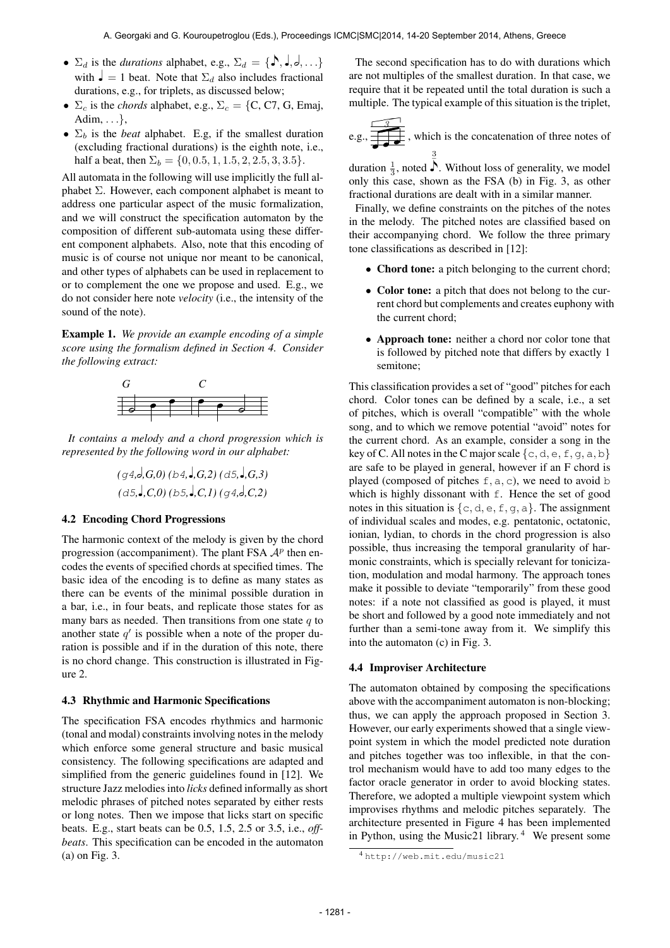- $\Sigma_d$  is the *durations* alphabet, e.g.,  $\Sigma_d = \{\mathbf{S}, \mathbf{J}, \mathbf{J}, \mathbf{J}, \dots\}$ <br>with  $\mathbf{J} = 1$  heat. Note that  $\Sigma$ , also includes fractional with  $\mathbf{J} = 1$  beat. Note that  $\Sigma_d$  also includes fractional durations, e.g., for triplets, as discussed below;
- $\Sigma_c$  is the *chords* alphabet, e.g.,  $\Sigma_c = \{C, C7, G, Ema\}$ , Adim,  $\dots$ ,
- $\Sigma_b$  is the *beat* alphabet. E.g, if the smallest duration (excluding fractional durations) is the eighth note, i.e., half a beat, then  $\Sigma_b = \{0, 0.5, 1, 1.5, 2, 2.5, 3, 3.5\}.$

All automata in the following will use implicitly the full alphabet  $\Sigma$ . However, each component alphabet is meant to address one particular aspect of the music formalization, and we will construct the specification automaton by the composition of different sub-automata using these different component alphabets. Also, note that this encoding of music is of course not unique nor meant to be canonical, and other types of alphabets can be used in replacement to or to complement the one we propose and used. E.g., we do not consider here note *velocity* (i.e., the intensity of the sound of the note).

Example 1. *We provide an example encoding of a simple score using the formalism defined in Section 4. Consider the following extract:*



*It contains a melody and a chord progression which is represented by the following word in our alphabet:*

$$
(g4, d, G, 0) (b4, d, G, 2) (d5, d, G, 3)
$$
  
 $(d5, d, C, 0) (b5, d, C, 1) (g4, d, C, 2)$ 

# 4.2 Encoding Chord Progressions

The harmonic context of the melody is given by the chord progression (accompaniment). The plant FSA  $\mathcal{A}^p$  then encodes the events of specified chords at specified times. The basic idea of the encoding is to define as many states as there can be events of the minimal possible duration in a bar, i.e., in four beats, and replicate those states for as many bars as needed. Then transitions from one state  $q$  to another state  $q'$  is possible when a note of the proper duration is possible and if in the duration of this note, there is no chord change. This construction is illustrated in Figure 2.

#### 4.3 Rhythmic and Harmonic Specifications

The specification FSA encodes rhythmics and harmonic (tonal and modal) constraints involving notes in the melody which enforce some general structure and basic musical consistency. The following specifications are adapted and simplified from the generic guidelines found in [12]. We structure Jazz melodies into *licks* defined informally as short melodic phrases of pitched notes separated by either rests or long notes. Then we impose that licks start on specific beats. E.g., start beats can be 0.5, 1.5, 2.5 or 3.5, i.e., *offbeats*. This specification can be encoded in the automaton (a) on Fig. 3.

The second specification has to do with durations which are not multiples of the smallest duration. In that case, we require that it be repeated until the total duration is such a multiple. The typical example of this situation is the triplet,

e.g., 
$$
\frac{3}{\sqrt{3}}
$$
, which is the concatenation of three notes of  $\frac{3}{3}$ 

duration  $\frac{1}{3}$ , noted  $\overline{\overline{)}}$ . Without loss of generality, we model<br>only this case, shown as the ESA (b) in Fig. 3, as other only this case, shown as the FSA (b) in Fig. 3, as other fractional durations are dealt with in a similar manner.

Finally, we define constraints on the pitches of the notes in the melody. The pitched notes are classified based on their accompanying chord. We follow the three primary tone classifications as described in [12]:

- Chord tone: a pitch belonging to the current chord;
- Color tone: a pitch that does not belong to the current chord but complements and creates euphony with the current chord;
- Approach tone: neither a chord nor color tone that is followed by pitched note that differs by exactly 1 semitone;

This classification provides a set of "good" pitches for each chord. Color tones can be defined by a scale, i.e., a set of pitches, which is overall "compatible" with the whole song, and to which we remove potential "avoid" notes for the current chord. As an example, consider a song in the key of C. All notes in the C major scale  $\{c, d, e, f, q, a, b\}$ are safe to be played in general, however if an F chord is played (composed of pitches  $f$ , a, c), we need to avoid b which is highly dissonant with f. Hence the set of good notes in this situation is  $\{c, d, e, f, g, a\}$ . The assignment of individual scales and modes, e.g. pentatonic, octatonic, ionian, lydian, to chords in the chord progression is also possible, thus increasing the temporal granularity of harmonic constraints, which is specially relevant for tonicization, modulation and modal harmony. The approach tones make it possible to deviate "temporarily" from these good notes: if a note not classified as good is played, it must be short and followed by a good note immediately and not further than a semi-tone away from it. We simplify this into the automaton (c) in Fig. 3.

# 4.4 Improviser Architecture

The automaton obtained by composing the specifications above with the accompaniment automaton is non-blocking; thus, we can apply the approach proposed in Section 3. However, our early experiments showed that a single viewpoint system in which the model predicted note duration and pitches together was too inflexible, in that the control mechanism would have to add too many edges to the factor oracle generator in order to avoid blocking states. Therefore, we adopted a multiple viewpoint system which improvises rhythms and melodic pitches separately. The architecture presented in Figure 4 has been implemented in Python, using the Music21 library. $4$  We present some

<sup>4</sup> <http://web.mit.edu/music21>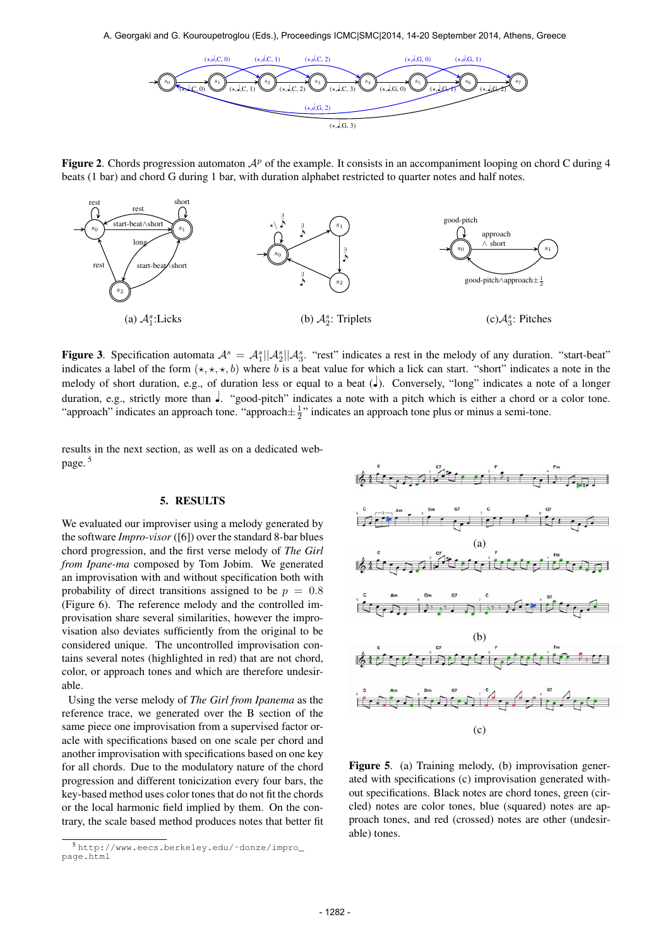A. Georgaki and G. Kouroupetroglou (Eds.), Proceedings ICMC|SMC|2014, 14-20 September 2014, Athens, Greece



**Figure 2.** Chords progression automaton  $A^p$  of the example. It consists in an accompaniment looping on chord C during 4 beats (1 bar) and chord G during 1 bar, with duration alphabet restricted to quarter notes and half notes.



**Figure 3.** Specification automata  $A^s = A_1^s ||A_2^s ||A_3^s$ . "rest" indicates a rest in the melody of any duration. "start-beat" indicates a label of the form  $(\star, \star, \star, b)$  where b is a beat value for which a lick can start. "short" indicates a note in the melody of short duration, e.g., of duration less or equal to a beat (♩). Conversely, "long" indicates a note of a longer duration, e.g., strictly more than ♩. "good-pitch" indicates a note with a pitch which is either a chord or a color tone. "approach" indicates an approach tone. "approach $\pm \frac{1}{2}$ " indicates an approach tone plus or minus a semi-tone.

results in the next section, as well as on a dedicated webpage. 5

# 5. RESULTS

We evaluated our improviser using a melody generated by the software *Impro-visor* ([6]) over the standard 8-bar blues chord progression, and the first verse melody of *The Girl from Ipane-ma* composed by Tom Jobim. We generated an improvisation with and without specification both with probability of direct transitions assigned to be  $p = 0.8$ (Figure 6). The reference melody and the controlled improvisation share several similarities, however the improvisation also deviates sufficiently from the original to be considered unique. The uncontrolled improvisation contains several notes (highlighted in red) that are not chord, color, or approach tones and which are therefore undesirable.

Using the verse melody of *The Girl from Ipanema* as the reference trace, we generated over the B section of the same piece one improvisation from a supervised factor oracle with specifications based on one scale per chord and another improvisation with specifications based on one key for all chords. Due to the modulatory nature of the chord progression and different tonicization every four bars, the key-based method uses color tones that do not fit the chords or the local harmonic field implied by them. On the contrary, the scale based method produces notes that better fit



Figure 5. (a) Training melody, (b) improvisation generated with specifications (c) improvisation generated without specifications. Black notes are chord tones, green (circled) notes are color tones, blue (squared) notes are approach tones, and red (crossed) notes are other (undesirable) tones.

<sup>5</sup> [http://www.eecs.berkeley.edu/˜donze/impro\\_](http://www.eecs.berkeley.edu/~donze/impro_page.html) [page.html](http://www.eecs.berkeley.edu/~donze/impro_page.html)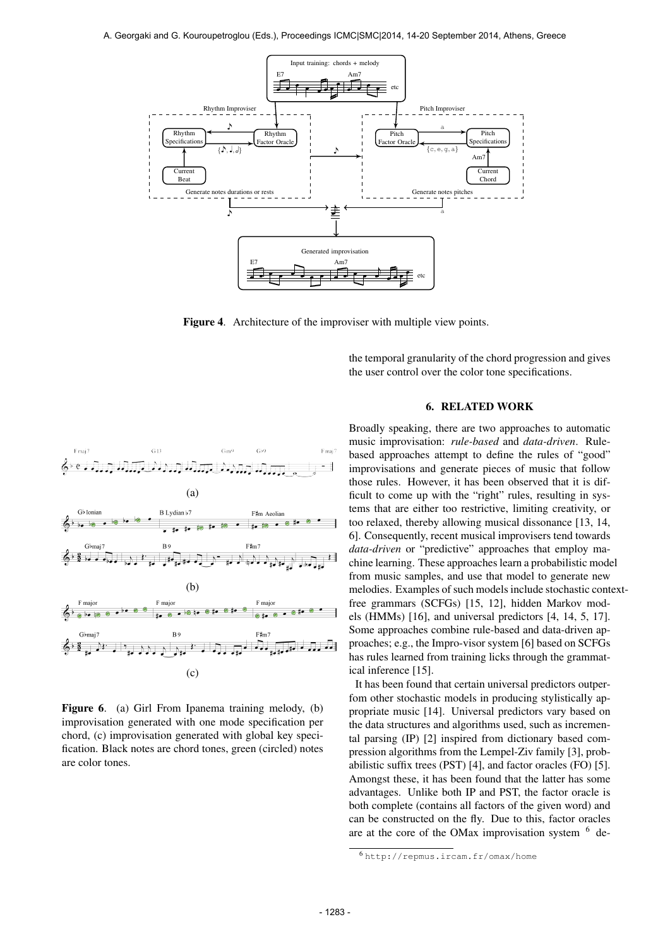

Figure 4. Architecture of the improviser with multiple view points.



Figure 6. (a) Girl From Ipanema training melody, (b) improvisation generated with one mode specification per chord, (c) improvisation generated with global key specification. Black notes are chord tones, green (circled) notes are color tones.

the temporal granularity of the chord progression and gives the user control over the color tone specifications.

#### 6. RELATED WORK

Broadly speaking, there are two approaches to automatic music improvisation: *rule-based* and *data-driven*. Rulebased approaches attempt to define the rules of "good" improvisations and generate pieces of music that follow those rules. However, it has been observed that it is difficult to come up with the "right" rules, resulting in systems that are either too restrictive, limiting creativity, or too relaxed, thereby allowing musical dissonance [13, 14, 6]. Consequently, recent musical improvisers tend towards *data-driven* or "predictive" approaches that employ machine learning. These approaches learn a probabilistic model from music samples, and use that model to generate new melodies. Examples of such models include stochastic contextfree grammars (SCFGs) [15, 12], hidden Markov models (HMMs) [16], and universal predictors [4, 14, 5, 17]. Some approaches combine rule-based and data-driven approaches; e.g., the Impro-visor system [6] based on SCFGs has rules learned from training licks through the grammatical inference [15].

It has been found that certain universal predictors outperfom other stochastic models in producing stylistically appropriate music [14]. Universal predictors vary based on the data structures and algorithms used, such as incremental parsing (IP) [2] inspired from dictionary based compression algorithms from the Lempel-Ziv family [3], probabilistic suffix trees (PST) [4], and factor oracles (FO) [5]. Amongst these, it has been found that the latter has some advantages. Unlike both IP and PST, the factor oracle is both complete (contains all factors of the given word) and can be constructed on the fly. Due to this, factor oracles are at the core of the OMax improvisation system  $6$  de-

<sup>6</sup> <http://repmus.ircam.fr/omax/home>